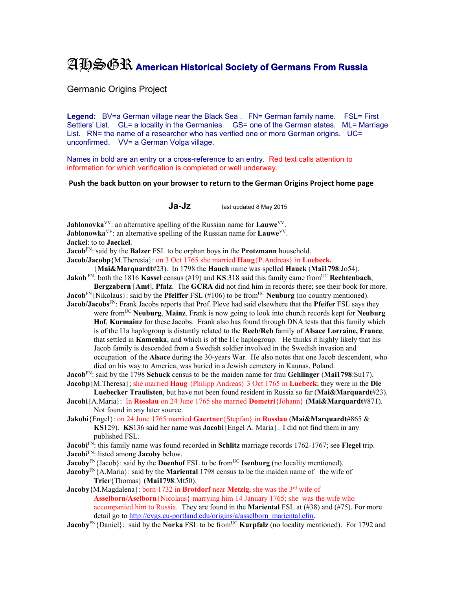## AHSGR **American Historical Society of Germans From Russia**

Germanic Origins Project

Legend: BV=a German village near the Black Sea . FN= German family name. FSL= First Settlers' List. GL= a locality in the Germanies. GS= one of the German states. ML= Marriage List. RN= the name of a researcher who has verified one or more German origins. UC= unconfirmed. VV= a German Volga village.

Names in bold are an entry or a cross-reference to an entry. Red text calls attention to information for which verification is completed or well underway.

## **Push the back button on your browser to return to the German Origins Project home page**

**Ja-Jz** last updated 8 May 2015

**Jablonovka**<sup>VV</sup>: an alternative spelling of the Russian name for **Lauwe**<sup>VV</sup>. **Jablonowka**<sup>VV</sup>: an alternative spelling of the Russian name for **Lauwe**<sup>VV</sup>.

**Jackel**: to to **Jaeckel**.

**Jacob**<sup>FN</sup>: said by the **Balzer** FSL to be orphan boys in the **Protzmann** household.

**Jacob/Jacobp**{M.Theresia}: on 3 Oct 1765 she married **Haug**{P.Andreas} in **Luebeck.** 

{**Mai&Marquardt**#23). In 1798 the **Hauch** name was spelled **Hauck** (**Mai1798**:Jo54).

- **Jakob** FN: both the 1816 **Kassel** census (#19) and **KS**:318 said this family came from<sup>UC</sup> Rechtenbach, **Bergzabern** [**Amt**], **Pfalz**. The **GCRA** did not find him in records there; see their book for more.
- **Jacob**<sup>FN</sup>{Nikolaus}: said by the **Pfeiffer** FSL (#106) to be from<sup>UC</sup> **Neuburg** (no country mentioned).
- **Jacob/Jacobs**<sup>FN</sup>: Frank Jacobs reports that Prof. Pleve had said elsewhere that the **Pfeifer** FSL says they were fromUC **Neuburg**, **Mainz**. Frank is now going to look into church records kept for **Neuburg Hof**, **Kurmainz** for these Jacobs. Frank also has found through DNA tests that this family which is of the I1a haplogroup is distantly related to the **Reeb/Reb** family of **Alsace Lorraine, France**, that settled in **Kamenka**, and which is of the I1c haplogroup. He thinks it highly likely that his Jacob family is descended from a Swedish soldier involved in the Swedish invasion and occupation of the **Alsace** during the 30-years War. He also notes that one Jacob descendent, who died on his way to America, was buried in a Jewish cemetery in Kaunas, Poland.

**Jacob**FN: said by the 1798 **Schuck** census to be the maiden name for frau **Gehlinger** (**Mai1798**:Su17). **Jacobp**{M.Theresa}; she married **Haug** {Philipp Andreas} 3 Oct 1765 in **Luebeck**; they were in the **Die** 

- **Luebecker Traulisten**, but have not been found resident in Russia so far (**Mai&Marquardt**#23). **Jacobi**{A.Maria}: In **Rosslau** on 24 June 1765 she married **Dometri**{Johann} (**Mai&Marquardt**#871).
- Not found in any later source.
- **Jakobi**{Engel}: on 24 June 1765 married **Gaertner**{Stepfan} in **Rosslau** (**Mai&Marquardt**#865 & **KS**129). **KS**136 said her name was **Jacobi**{Engel A. Maria}. I did not find them in any published FSL.

**Jacobi**FN: this family name was found recorded in **Schlitz** marriage records 1762-1767; see **Flegel** trip. **Jacobi**FN: listed among **Jacoby** below.

**Jacoby**<sup>FN</sup>{Jacob}: said by the **Doenhof** FSL to be from<sup>UC</sup> **Isenburg** (no locality mentioned).

**Jacoby**<sup>FN</sup>{A.Maria}: said by the **Mariental** 1798 census to be the maiden name of the wife of **Trier**{Thomas} (**Mai1798**:Mt50).

**Jacoby**{M.Magdalena}: born 1732 in **Brotdorf** near **Metzig**, she was the 3<sup>rd</sup> wife of **Asselborn/Aselborn**{Nicolaus} marrying him 14 January 1765; she was the wife who accompanied him to Russia. They are found in the **Mariental** FSL at (#38) and (#75). For more detail go to http://cvgs.cu-portland.edu/origins/a/asselborn\_mariental.cfm.

**Jacoby**<sup>FN</sup>{Daniel}: said by the **Norka** FSL to be from<sup>UC</sup> **Kurpfalz** (no locality mentioned). For 1792 and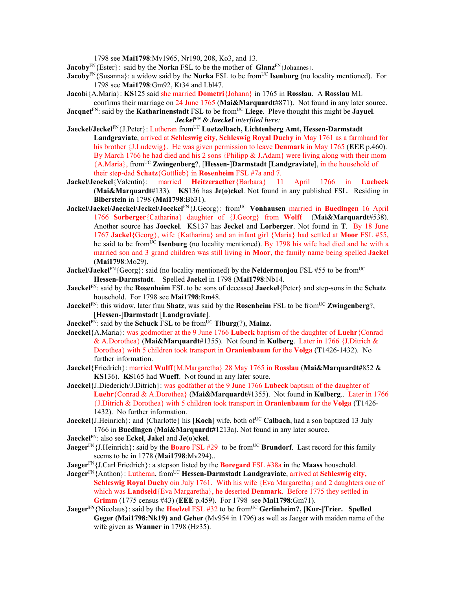1798 see **Mai1798**:Mv1965, Nr190, 208, Ko3, and 13.

- **Jacoby**<sup>FN</sup>{Ester}: said by the **Norka** FSL to be the mother of **Glanz**<sup>FN</sup>{Johannes}.
- **Jacoby**<sup>FN</sup>{Susanna}: a widow said by the **Norka** FSL to be from<sup>UC</sup> **Isenburg** (no locality mentioned). For 1798 see **Mai1798**:Gm92, Kt34 and Lbl47.
- **Jacob**i{A.Maria}: **KS**125 said she married **Dometri**{Johann} in 1765 in **Rosslau**. A **Rosslau** ML confirms their marriage on 24 June 1765 (**Mai&Marquardt**#871). Not found in any later source.
- **Jacqnet**<sup>FN</sup>: said by the **Katharinenstadt** FSL to be from<sup>UC</sup> Liege. Pleve thought this might be **Jayuel**. *JeckelFN & Jaeckel interfiled here:*
- Jaeckel/Jeckel<sup>FN</sup>{J.Peter}: Lutheran from<sup>UC</sup> Luetzelbach, Lichtenberg Amt, Hessen-Darmstadt **Landgraviate**, arrived at **Schleswig city, Schleswig Royal Duchy** in May 1761 as a farmhand for his brother {J.Ludewig}. He was given permission to leave **Denmark** in May 1765 (**EEE** p.460). By March 1766 he had died and his 2 sons {Philipp & J.Adam} were living along with their mom {A.Maria}, fromUC **Zwingenberg**?, [**Hessen-**]**Darmstadt** [**Landgraviate**], in the household of their step-dad **Schatz**{Gottlieb} in **Rosenheim** FSL #7a and 7.
- **Jackel/Jeockel**{Valentin}: married **Heitzeraether**{Barbara} 11 April 1766 in **Luebeck**  (**Mai&Marquardt**#133). **KS**136 has **Je**(**o**)**ckel**. Not found in any published FSL. Residing in **Biberstein** in 1798 (**Mai1798**:Bb31).
- **Jackel/Jaekel/Jaeckel/Jeckel/Joeckel**FN{J.Georg}: fromUC **Vonhausen** married in **Buedingen** 16 April 1766 **Sorberger**{Catharina} daughter of {J.Georg} from **Wolff** (**Mai&Marquardt**#538). Another source has **Joeckel**. KS137 has **Jeckel** and **Lorberger**. Not found in **T**. By 18 June 1767 **Jackel**{Georg}, wife {Katharina} and an infant girl {Maria} had settled at **Moor** FSL #55, he said to be from<sup>UC</sup> **Isenburg** (no locality mentioned). By 1798 his wife had died and he with a married son and 3 grand children was still living in **Moor**, the family name being spelled **Jaekel** (**Mai1798**:Mo29).
- **Jackel/Jaekel**FN{Georg}: said (no locality mentioned) by the **Neidermonjou** FSL #55 to be from<sup>UC</sup> **Hessen-Darmstadt**. Spelled **Jaekel** in 1798 (**Mai1798**:Nb14.
- **Jaeckel**FN: said by the **Rosenheim** FSL to be sons of deceased **Jaeckel**{Peter} and step-sons in the **Schatz** household. For 1798 see **Mai1798**:Rm48.
- **Jaeckel**FN: this widow, later frau **Shatz**, was said by the **Rosenheim** FSL to be from<sup>UC</sup> **Zwingenberg**?, [**Hessen**-]**Darmstadt** [**Landgraviate**].
- **Jaeckel**FN: said by the **Schuck** FSL to be from<sup>UC</sup> **Tiburg**(?), **Mainz.**
- **Jaeckel**{A.Maria}: was godmother at the 9 June 1766 **Lubeck** baptism of the daughter of **Luehr**{Conrad & A.Dorothea} (**Mai&Marquardt**#1355). Not found in **Kulberg**. Later in 1766 {J.Ditrich & Dorothea} with 5 children took transport in **Oranienbaum** for the **Volga** (**T**1426-1432). No further information.
- **Jaeckel**{Friedrich}: married **Wulff**{M.Margaretha} 28 May 1765 in **Rosslau** (**Mai&Marquardt#**852 & **KS**136). **KS**165 had **Wueff**. Not found in any later soure.
- **Jaeckel**{J.Diederich/J.Ditrich}: was godfather at the 9 June 1766 **Lubeck** baptism of the daughter of **Luehr**{Conrad & A.Dorothea} (**Mai&Marquardt**#1355). Not found in **Kulberg**.. Later in 1766 {J.Ditrich & Dorothea} with 5 children took transport in **Oranienbaum** for the **Volga** (**T**1426- 1432). No further information.
- **Jaeckel**{J.Heinrich}: and {Charlotte} his [**Koch**] wife, both of<sup>UC</sup> Calbach, had a son baptized 13 July 1766 in **Buedingen** (**Mai&Marquardt#**1213a). Not found in any later source.
- **Jaeckel**FN: also see **Eckel**, **Jakel** and **Je**(**o**)**ckel**.
- **Jaeger**<sup>FN</sup>{J.Heinrich}: said by the **Boaro** FSL #29 to be from<sup>UC</sup> **Brundorf**. Last record for this family seems to be in 1778 (**Mai1798**:Mv294)..
- **Jaeger**FN{J.Carl Friedrich}: a stepson listed by the **Boregard** FSL #38a in the **Maass** household.
- **Jaeger**FN{Anthon}: Lutheran, fromUC **Hessen-Darmstadt Landgraviate**, arrived at **Schleswig city, Schleswig Royal Duchy** oin July 1761. With his wife {Eva Margaretha} and 2 daughters one of which was **Landseid**{Eva Margaretha}, he deserted **Denmark**. Before 1775 they settled in **Grimm** (1775 census #43) (**EEE** p.459). For 1798 see **Mai1798**:Gm71).
- **JaegerFN**{Nicolaus}: said by the **Hoelzel** FSL #32 to be fromUC **Gerlinheim?, [Kur-]Trier. Spelled Geger (Mai1798:Nk19) and Geher** (Mv954 in 1796) as well as Jaeger with maiden name of the wife given as **Wanner** in 1798 (Hz35).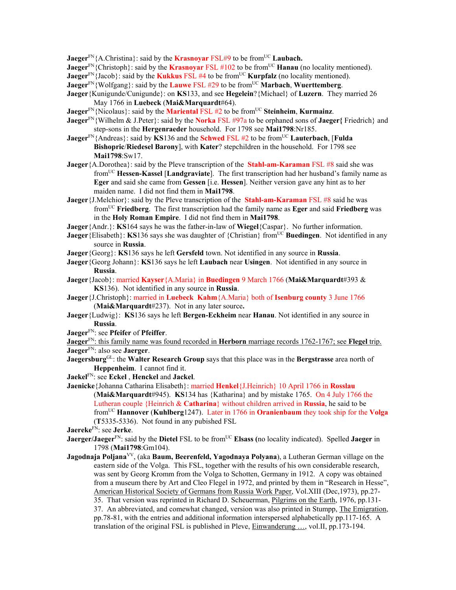**Jaeger**<sup>FN</sup>{A.Christina}: said by the **Krasnoyar** FSL#9 to be from<sup>UC</sup> **Laubach.** 

- **Jaeger**<sup>FN</sup>{Christoph}: said by the **Krasnoyar** FSL #102 to be from<sup>UC</sup> **Hanau** (no locality mentioned).
- **Jaeger**<sup>FN</sup>{Jacob}: said by the **Kukkus** FSL #4 to be from<sup>UC</sup> **Kurpfalz** (no locality mentioned).
- **Jaeger**FN{Wolfgang}: said by the **Lauwe** FSL #29 to be fromUC **Marbach**, **Wuerttemberg**.
- **Jaeger**{Kunigunde/Cunigunde}: on **KS**133, and see **Hegelein**?{Michael} of **Luzern**. They married 26 May 1766 in **Luebeck** (**Mai&Marquardt**#64).
- **Jaeger**<sup>FN</sup>{Nicolaus}: said by the **Mariental** FSL #2 to be from<sup>UC</sup> Steinheim, **Kurmainz**.
- **Jaeger**FN{Wilhelm & J.Peter}: said by the **Norka** FSL #97a to be orphaned sons of **Jaeger{** Friedrich} and step-sons in the **Hergenraeder** household. For 1798 see **Mai1798**:Nr185.
- **Jaeger**FN{Andreas}: said by **KS**136 and the **Schwed** FSL #2 to be fromUC **Lauterbach**, [**Fulda Bishopric**/**Riedesel Barony**], with **Kater**? stepchildren in the household. For 1798 see **Mai1798**:Sw17.
- **Jaeger**{A.Dorothea}: said by the Pleve transcription of the **Stahl-am-Karaman** FSL #8 said she was fromUC **Hessen-Kassel** [**Landgraviate**]. The first transcription had her husband's family name as **Eger** and said she came from **Gessen** [i.e. **Hessen**]. Neither version gave any hint as to her maiden name. I did not find them in **Mai1798**.
- **Jaeger** {J.Melchior}: said by the Pleve transcription of the **Stahl-am-Karaman** FSL #8 said he was fromUC **Friedberg**. The first transcription had the family name as **Eger** and said **Friedberg** was in the **Holy Roman Empire**. I did not find them in **Mai1798**.
- **Jaeger**{Andr.}: **KS**164 says he was the father-in-law of **Wiegel**{Caspar}. No further information.
- **Jaeger** {Elisabeth}: **KS**136 says she was daughter of {Christian} from<sup>UC</sup> **Buedingen**. Not identified in any source in **Russia**.
- **Jaeger**{Georg}: **KS**136 says he left **Gersfeld** town. Not identified in any source in **Russia**.
- **Jaeger**{Georg Johann}: **KS**136 says he left **Laubach** near **Usingen**. Not identified in any source in **Russia**.
- **Jaeger**{Jacob}: married **Kayser**{A.Maria} in **Buedingen** 9 March 1766 (**Mai&Marquardt**#393 & **KS**136). Not identified in any source in **Russia**.
- **Jaeger**{J.Christoph}: married in **Luebeck Kahm**{A.Maria} both of **Isenburg county** 3 June 1766 (**Mai&Marquardt**#237). Not in any later source**.**
- **Jaeger**{Ludwig}: **KS**136 says he left **Bergen-Eckheim** near **Hanau**. Not identified in any source in **Russia**.
- **Jaeger**FN: see **Pfeifer** of **Pfeiffer**.

**Jaeger**FN: this family name was found recorded in **Herborn** marriage records 1762-1767; see **Flegel** trip. **Jaeger**FN: also see **Jaerger**.

- **Jaegersburg**GL: the **Walter Research Group** says that this place was in the **Bergstrasse** area north of **Heppenheim**. I cannot find it.
- **Jaekel**FN: see **Eckel** , **Henckel** and **Jackel**.

**Jaenicke**{Johanna Catharina Elisabeth}: married **Henkel**{J.Heinrich} 10 April 1766 in **Rosslau** (**Mai&Marquardt**#945). **KS**134 has {Katharina} and by mistake 1765. On 4 July 1766 the Lutheran couple {Heinrich & **Catharina**} without children arrived in **Russia**, he said to be fromUC **Hannover** (**Kuhlberg**1247). Later in 1766 in **Oranienbaum** they took ship for the **Volga** (**T**5335-5336). Not found in any pubished FSL

- **Jaerger/Jaeger**<sup>FN</sup>: said by the **Dietel** FSL to be from<sup>UC</sup> **Elsass** (no locality indicated). Spelled **Jaeger** in 1798 (**Mai1798**:Gm104).
- **Jagodnaja Poljana**VV, (aka **Baum, Beerenfeld, Yagodnaya Polyana**), a Lutheran German village on the eastern side of the Volga. This FSL, together with the results of his own considerable research, was sent by Georg Kromm from the Volga to Schotten, Germany in 1912. A copy was obtained from a museum there by Art and Cleo Flegel in 1972, and printed by them in "Research in Hesse", American Historical Society of Germans from Russia Work Paper, Vol.XIII (Dec,1973), pp.27- 35. That version was reprinted in Richard D. Scheuerman, Pilgrims on the Earth, 1976, pp.131- 37. An abbreviated, and comewhat changed, version was also printed in Stumpp, The Emigration, pp.78-81, with the entries and additional information interspersed alphabetically pp.117-165. A translation of the original FSL is published in Pleve, Einwanderung …, vol.II, pp.173-194.

**Jaereke**FN: see **Jerke**.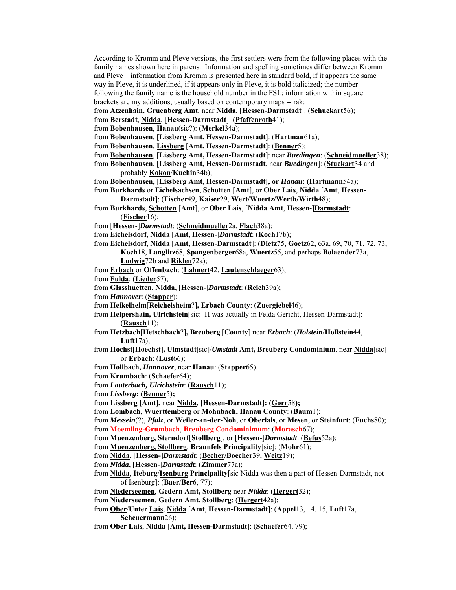According to Kromm and Pleve versions, the first settlers were from the following places with the family names shown here in parens. Information and spelling sometimes differ between Kromm and Pleve – information from Kromm is presented here in standard bold, if it appears the same way in Pleve, it is underlined, if it appears only in Pleve, it is bold italicized; the number following the family name is the household number in the FSL; information within square brackets are my additions, usually based on contemporary maps -- rak:

from **Atzenhain**, **Gruenberg Amt**, near **Nidda**, [**Hessen-Darmstadt**]: (**Schuckart**56);

from **Berstadt**, **Nidda**, [**Hessen-Darmstadt**]: (**Pfaffenroth**41);

from **Bobenhausen**, **Hanau**(sic?): (**Merkel**34a);

from **Bobenhausen**, [**Lissberg Amt, Hessen-Darmstadt**]: (**Hartman**61a);

- from **Bobenhausen**, **Lissberg** [**Amt, Hessen-Darmstadt**]: (**Benner**5);
- from **Bobenhausen***,* [**Lissberg Amt, Hessen-Darmstadt**]: near *Buedingen*: (**Schneidmueller**38);

from **Bobenhausen**, [**Lissberg Amt, Hessen-Darmstadt**, near *Buedingen*]: (**Stuckart**34 and probably **Kokon**/**Kuchin**34b);

from **Bobenhausen, [Lissberg Amt, Hessen-Darmstadt], or** *Hanau***: (Hartmann**54a);

from **Burkhards** or **Eichelsachsen**, **Schotten** [**Amt**], or **Ober Lais**, **Nidda** [**Amt**, **Hessen**-**Darmstadt**]: (**Fischer**49, **Kaiser**29, **Wert/Wuertz/Werth/Wirth**48);

- from **Burkhards**, **Schotten** [**Amt**], or **Ober Lais**, [**Nidda Amt**, **Hessen**-]**Darmstadt**: (**Fischer**16);
- from [**Hessen**-]*Darmstadt*: (**Schneidmueller**2a, **Flach**38a);
- from **Eichelsdorf**, **Nidda** [**Amt, Hessen**-]*Darmstadt*: (**Koch**17b);
- from **Eichelsdorf**, **Nidda** [**Amt, Hessen**-**Darmstadt**]: (**Dietz**75, **Goetz**62, 63a, 69, 70, 71, 72, 73, **Koch**18, **Langlitz**68, **Spangenberger**68a, **Wuertz**55, and perhaps **Bolaender**73a, **Ludwig**72b and **Riklen**72a);
- from **Erbach** or **Offenbach**: (**Lahnert**42, **Lautenschlaeger**63);
- from **Fulda**: (**Lieder**57);
- from **Glasshuetten**, **Nidda**, [**Hessen**-]*Darmstadt*: (**Reich**39a);
- from *Hannover*: (**Stapper**);
- from **Heikelheim**[**Reichelsheim**?]**, Erbach County**: (**Zuergiebel**46);
- from **Helpershain, Ulrichstein**[sic: H was actually in Felda Gericht, Hessen-Darmstadt]: (**Rausch**11);
- from **Hetzbach**[**Hetschbach**?]**, Breuberg** [**County**] near *Erbach*: (*Holstein*/**Hollstein**44, **Luft**17a);
- from **Hochst**[**Hoechst**]**, Ulmstadt**[sic]/*Umstadt* **Amt, Breuberg Condominium**, near **Nidda**[sic] or **Erbach**: (**Lust**66);
- from **Hollbach,** *Hannover*, near **Hanau**: (**Stapper**65).
- from **Krumbach**: (**Schaefer**64);
- from *Lauterbach, Ulrichstein*: (**Rausch**11);
- from *Lissberg***: (Benner**5**);**
- from **Lissberg [Amt],** near **Nidda, [Hessen-Darmstadt]: (Gorr**58**);**
- from **Lombach, Wuerttemberg** or **Mohnbach, Hanau County**: (**Baum**1);

from *Messein*(?), *Pfalz*, or **Weiler-an-der-Noh**, or **Oberlais**, or **Mesen**, or **Steinfurt**: (**Fuchs**80);

- from **Moemling-Grumbach**, **Breuberg Condominimum**: (**Morasch**67);
- from **Muenzenberg, Sterndorf**[**Stollberg**], or [**Hessen**-]*Darmstadt*: (**Befus**52a);
- from **Muenzenberg, Stollberg**, **Braunfels Principality**[sic]: (**Mohr**61);
- from **Nidda**, [**Hessen-**]*Darmstadt*: (**Becher/Boecher**39, **Weitz**19);
- from *Nidda*, [**Hessen**-]*Darmstadt*: (**Zimmer**77a);
- from **Nidda**, **Iteburg**/**Isenburg Principality**[sic Nidda was then a part of Hessen-Darmstadt, not of Isenburg]: (**Baer**/**Ber**6, 77);
- from **Niederseemen**, **Gedern Amt, Stollberg** near *Nidda*: (**Hergert**32);
- from **Niederseemen**, **Gedern Amt, Stollberg**: (**Hergert**42a);
- from **Ober**/**Unter Lais**, **Nidda** [**Amt**, **Hessen-Darmstadt**]: (**Appel**13, 14. 15, **Luft**17a, **Scheuermann**26);
- from **Ober Lais**, **Nidda** [**Amt, Hessen-Darmstadt**]: (**Schaefer**64, 79);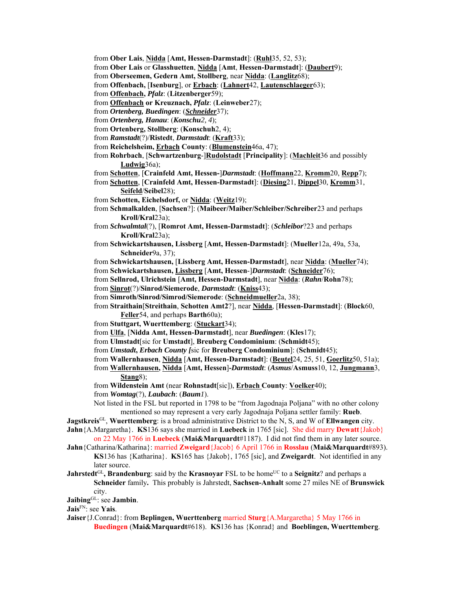from **Ober Lais**, **Nidda** [**Amt, Hessen-Darmstadt**]: (**Ruhl**35, 52, 53);

from **Ober Lais** or **Glasshuetten**, **Nidda** [**Amt**, **Hessen-Darmstadt**]: (**Daubert**9);

from **Oberseemen, Gedern Amt, Stollberg**, near **Nidda**: (**Langlitz**68);

from **Offenbach,** [**Isenburg**], or **Erbach**: (**Lahnert**42, **Lautenschlaeger**63);

from **Offenbach,** *Pfalz*: (**Litzenberger**59);

from **Offenbach or Kreuznach,** *Pfalz*: (**Leinweber**27);

from *Ortenberg, Buedingen*: (*Schneider*37);

from *Ortenberg, Hanau*: (*Konschu2, 4*);

from **Ortenberg, Stollberg**: (**Konschuh**2, 4);

- from *Ramstadt*(?)/**Ristedt**, *Darmstadt*: (**Kraft**33);
- from **Reichelsheim, Erbach County**: (**Blumenstein**46a, 47);
- from **Rohrbach**, [**Schwartzenburg**-]**Rudolstadt** [**Principality**]: (**Machleit**36 and possibly **Ludwig**36a);

from **Schotten**, [**Crainfeld Amt, Hessen-**]*Darmstadt*: (**Hoffmann**22, **Kromm**20, **Repp**7);

from **Schotten**, [**Crainfeld Amt, Hessen-Darmstadt**]: (**Diesing**21, **Dippel**30, **Kromm**31, **Seifeld**/**Seibel**28);

from **Schotten, Eichelsdorf,** or **Nidda**: (**Weitz**19);

from **Schmalkalden**, [**Sachsen**?]: (**Maibeer/Maiber/Schleiber/Schreiber**23 and perhaps **Kroll/Kral**23a);

from *Schwalmtal*(?), [**Romrot Amt, Hessen-Darmstadt**]: (*Schleibor*?23 and perhaps **Kroll/Kral**23a);

from **Schwickartshausen, Lissberg** [**Amt, Hessen-Darmstadt**]: (**Mueller**12a, 49a, 53a, **Schneider**9a, 37);

from **Schwickartshausen,** [**Lissberg Amt, Hessen-Darmstadt**], near **Nidda**: (**Mueller**74);

- from **Schwickartshausen, Lissberg** [**Amt, Hessen**-]*Darmstadt*: (**Schneider**76);
- from **Sellnrod, Ulrichstein** [**Amt, Hessen-Darmstadt**], near **Nidda**: (*Rahn*/**Rohn**78);
- from **Sinrot**(?)/**Sinrod/Siemerode**, *Darmstadt*: (**Kniss**43);
- from **Simroth/Sinrod/Simrod/Siemerode**: (**Schneidmueller**2a, 38);

from **Straithain**[**Streithain**, **Schotten Amt2**?], near **Nidda**, [**Hessen-Darmstadt**]: (**Block**60, **Feller**54, and perhaps **Barth**60a);

- from **Stuttgart, Wuerttemberg**: (**Stuckart**34);
- from **Ulfa**, [**Nidda Amt, Hessen-Darmstadt**], near *Buedingen*: (**Kles**17);
- from **Ulmstadt**[sic for **Umstadt**], **Breuberg Condominium**: (**Schmidt**45);
- from *Umstadt***,** *Erbach County [*sic for **Breuberg Condominium**]: (**Schmidt**45);
- from **Wallernhausen**, **Nidda** [**Amt, Hessen-Darmstadt**]: (**Beutel**24, 25, 51, **Goerlitz**50, 51a);

from **Wallernhausen, Nidda** [**Amt, Hessen**]**-***Darmstadt*: (*Asmus*/**Asmuss**10, 12, **Jungmann**3, **Stang**8);

from **Wildenstein Amt** (near **Rohnstadt**[sic]), **Erbach County**: **Voelker**40); from *Womtag*(?), *Laubach*: (*Baum1*).

Not listed in the FSL but reported in 1798 to be "from Jagodnaja Poljana" with no other colony

mentioned so may represent a very early Jagodnaja Poljana settler family: **Rueb**. **Jagstkreis**GL, **Wuerttemberg**: is a broad administrative District to the N, S, and W of **Ellwangen** city.

**Jahn**{A.Margaretha}. **KS**136 says she married in **Luebeck** in 1765 [sic]. She did marry **Dewatt**{Jakob} on 22 May 1766 in **Luebeck** (**Mai&Marquardt**#1187). I did not find them in any later source.

**Jahn**{Catharina/Katharina}: married **Zweigard**{Jacob} 6 April 1766 in **Rosslau** (**Mai&Marquardt**#893). **KS**136 has {Katharina}. **KS**165 has {Jakob}, 1765 [sic], and **Zweigardt**. Not identified in any later source.

**Jahrstedt**<sup>GL</sup>, Brandenburg: said by the Krasnovar FSL to be home<sup>UC</sup> to a Seignitz? and perhaps a **Schneider** family**.** This probably is Jahrstedt, **Sachsen-Anhalt** some 27 miles NE of **Brunswick** city.

**Jaibing**GL: see **Jambin**.

**Jais**FN: see **Yais**.

**Jaiser**{J.Conrad}: from **Beplingen, Wuerttenberg** married **Sturg**{A.Margaretha} 5 May 1766 in **Buedingen** (**Mai&Marquardt**#618). **KS**136 has {Konrad} and **Boeblingen, Wuerttemberg**.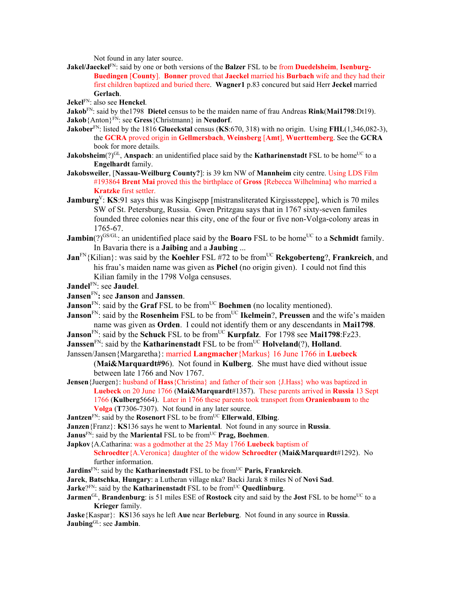Not found in any later source.

- **Jakel/Jaeckel**<sup>FN</sup>: said by one or both versions of the **Balzer** FSL to be from **Duedelsheim**. **Isenburg-Buedingen** [**County**]. **Bonner** proved that **Jaeckel** married his **Burbach** wife and they had their first children baptized and buried there. **Wagner1** p.83 concured but said Herr **Jeckel** married **Gerlach**.
- **Jekel**FN: also see **Henckel**.

**Jakob**FN: said by the1798 **Dietel** census to be the maiden name of frau Andreas **Rink**(**Mai1798**:Dt19). **Jakob**{Anton}FN: see **Gress**{Christmann} in **Neudorf**.

**Jakober**FN: listed by the 1816 **Glueckstal** census (**KS**:670, 318) with no origin. Using **FHL**(1,346,082-3), the **GCRA** proved origin in **Gellmersbach**, **Weinsberg** [**Amt**], **Wuerttemberg**. See the **GCRA** book for more details.

**Jakobsheim**( $?$ <sup>GL</sup>, **Anspach**: an unidentified place said by the **Katharinenstadt** FSL to be home<sup>UC</sup> to a **Engelhardt** family.

- **Jakobsweiler**, [**Nassau-Weilburg County?**]: is 39 km NW of **Mannheim** city centre. Using LDS Film #193864 **Brent Mai** proved this the birthplace of **Gross {**Rebecca Wilhelmina**}** who married a **Kratzke** first settler.
- **Jamburg**<sup>V</sup>: **KS**:91 says this was Kingisepp [mistransliterated Kirgisssteppe], which is 70 miles SW of St. Petersburg, Russia. Gwen Pritzgau says that in 1767 sixty-seven familes founded three colonies near this city, one of the four or five non-Volga-colony areas in 1765-67.
- **Jambin**(?)<sup>GS/GL</sup>: an unidentified place said by the **Boaro** FSL to be home<sup>UC</sup> to a **Schmidt** family. In Bavaria there is a **Jaibing** and a **Jaubing** ...
- **Jan**<sup>FN</sup>{Kilian}: was said by the **Koehler** FSL #72 to be from<sup>UC</sup> **Rekgoberteng**?, **Frankreich**, and his frau's maiden name was given as **Pichel** (no origin given). I could not find this Kilian family in the 1798 Volga censuses.
- **Jandel**FN: see **Jaudel**.
- **Jansen**FN**:** see **Janson** and **Janssen**.
- **Janson**<sup>FN</sup>: said by the **Graf** FSL to be from<sup>UC</sup> **Boehmen** (no locality mentioned).
- **Janson**<sup>FN</sup>: said by the **Rosenheim** FSL to be from<sup>UC</sup> **Ikelmein**?, **Preussen** and the wife's maiden name was given as **Orden**. I could not identify them or any descendants in **Mai1798**.
- **Janson**<sup>FN</sup>: said by the **Schuck** FSL to be from<sup>UC</sup> **Kurpfalz**. For 1798 see **Mai1798**:Fz23. **Janssen**<sup>FN</sup>: said by the **Katharinenstadt** FSL to be from<sup>UC</sup> **Holveland**(?), **Holland**.

Janssen/Jansen{Margaretha}: married **Langmacher**{Markus} 16 June 1766 in **Luebeck** 

(**Mai&Marquardt#9**6). Not found in **Kulberg**. She must have died without issue between late 1766 and Nov 1767.

- **Jensen**{Juergen}: husband of **Hass**{Christina} and father of their son {J.Hass} who was baptized in **Luebeck** on 20 June 1766 (**Mai&Marquardt**#1357). These parents arrived in **Russia** 13 Sept 1766 (**Kulberg**5664). Later in 1766 these parents took transport from **Oranienbaum** to the **Volga** (**T**7306-7307). Not found in any later source.
- **Jantzen**<sup>FN</sup>: said by the **Rosenort** FSL to be from<sup>UC</sup> **Ellerwald**, **Elbing**.
- **Janzen**{Franz}: **KS**136 says he went to **Mariental**. Not found in any source in **Russia**.
- **Janus**<sup>FN</sup>: said by the **Mariental** FSL to be from<sup>UC</sup> **Prag, Boehmen**.
- **Japkov**{A.Catharina: was a godmother at the 25 May 1766 **Luebeck** baptism of

**Schroedter**{A.Veronica} daughter of the widow **Schroedter** (**Mai&Marquardt**#1292). No further information.

- **Jardins**<sup>FN</sup>: said by the **Katharinenstadt** FSL to be from<sup>UC</sup> **Paris, Frankreich**.
- **Jarek**, **Batschka**, **Hungary**: a Lutheran village nka? Backi Jarak 8 miles N of **Novi Sad**.
- **Jarke**?FN: said by the **Katharinenstadt** FSL to be from<sup>UC</sup> Quedlinburg.
- **Jarmen**<sup>GL</sup>, **Brandenburg**: is 51 miles ESE of **Rostock** city and said by the **Jost** FSL to be home<sup>UC</sup> to a **Krieger** family.
- **Jaske**{Kaspar}: **KS**136 says he left **Aue** near **Berleburg**. Not found in any source in **Russia**. **Jaubing**GL: see **Jambin**.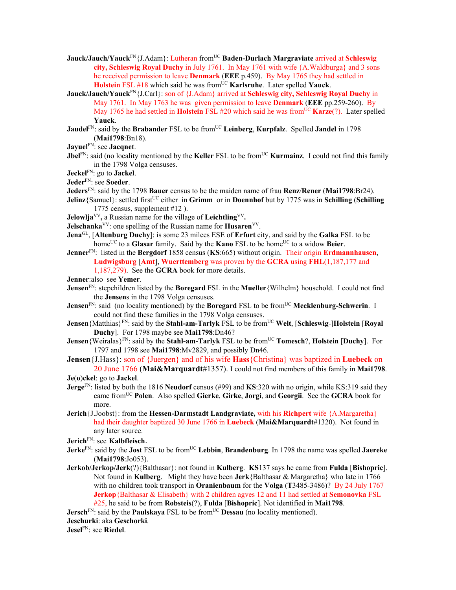- **Jauck/Jauch/Yauck**FN{J.Adam}: Lutheran fromUC **Baden-Durlach Margraviate** arrived at **Schleswig city, Schleswig Royal Duchy** in July 1761. In May 1761 with wife {A.Waldburga} and 3 sons he received permission to leave **Denmark** (**EEE** p.459). By May 1765 they had settled in **Holstein** FSL #18 which said he was from<sup>UC</sup> **Karlsruhe**. Later spelled **Yauck**.
- **Jauck/Jauch/Yauck**FN{J.Carl}: son of {J.Adam} arrived at **Schleswig city, Schleswig Royal Duchy** in May 1761. In May 1763 he was given permission to leave **Denmark** (**EEE** pp.259-260). By May 1765 he had settled in **Holstein** FSL #20 which said he was from<sup>UC</sup> **Karze**(?). Later spelled **Yauck**.
- **Jaudel**<sup>FN</sup>: said by the **Brabander** FSL to be from<sup>UC</sup> Leinberg, **Kurpfalz**. Spelled **Jandel** in 1798 (**Mai1798**:Bn18).
- **Jayuel**FN: see **Jacqnet**.
- **Jbel**<sup>FN</sup>: said (no locality mentioned by the **Keller** FSL to be from<sup>UC</sup> **Kurmainz**. I could not find this family in the 1798 Volga censuses.
- **Jeckel**FN: go to **Jackel**.
- **Jeder**FN: see **Soeder**.
- **Jeders**FN: said by the 1798 **Bauer** census to be the maiden name of frau **Renz**/**Rener** (**Mai1798**:Br24).
- **Jelinz**{Samuel}: settled first<sup>UC</sup> either in **Grimm** or in **Doennhof** but by 1775 was in **Schilling** (Schilling 1775 census, supplement #12 ).
- **Jelowlja**<sup>VV</sup>, a Russian name for the village of Leichtling<sup>VV</sup>.
- **Jelschanka**<sup>VV</sup>: one spelling of the Russian name for **Husaren**<sup>VV</sup>.
- **Jena**GL, [**Altenburg Duchy**]: is some 23 milees ESE of **Erfurt** city, and said by the **Galka** FSL to be home<sup>UC</sup> to a **Glasar** family. Said by the **Kano** FSL to be home<sup>UC</sup> to a widow **Beier**.
- **Jenner**FN: listed in the **Bergdorf** 1858 census (**KS**:665) without origin. Their origin **Erdmannhausen**, **Ludwigsburg** [**Amt**], **Wuerttemberg** was proven by the **GCRA** using **FHL**(1,187,177 and 1,187,279). See the **GCRA** book for more details.
- **Jenner**:also see **Yemer**.
- **Jensen**FN: stepchildren listed by the **Boregard** FSL in the **Mueller**{Wilhelm} household. I could not find the **Jensen**s in the 1798 Volga censuses.
- **Jensen**<sup>FN</sup>: said (no locality mentioned) by the **Boregard** FSL to be from<sup>UC</sup> Mecklenburg-Schwerin. I could not find these families in the 1798 Volga censuses.
- **Jensen**{Matthias}<sup>FN</sup>: said by the **Stahl-am-Tarlyk** FSL to be from<sup>UC</sup> Welt, [Schleswig-]Holstein [Royal **Duchy**]. For 1798 maybe see **Mai1798**:Dn46?
- **Jensen**{Weiralas}FN: said by the **Stahl-am-Tarlyk** FSL to be fromUC **Tomesch**?, **Holstein** [**Duchy**]. For 1797 and 1798 see **Mai1798**:Mv2829, and possibly Dn46.
- **Jensen**{J.Hass}: son of {Juergen} and of his wife **Hass**{Christina} was baptized in **Luebeck** on 20 June 1766 (**Mai&Marquardt**#1357). I could not find members of this family in **Mai1798**. **Je**(**o**)**ckel**: go to **Jackel**.
- **Jerge**<sup>FN</sup>: listed by both the 1816 **Neudorf** census (#99) and **KS**:320 with no origin, while KS:319 said they came fromUC **Polen**. Also spelled **Gierke**, **Girke**, **Jorgi**, and **Georgii**. See the **GCRA** book for
- more. **Jerich**{J.Joobst}: from the **Hessen-Darmstadt Landgraviate,** with his **Richpert** wife {A.Margaretha} had their daughter baptized 30 June 1766 in **Luebeck** (**Mai&Marquardt**#1320). Not found in

any later source.

- **Jerich**FN: see **Kalbfleisch**.
- **Jerke**<sup>FN</sup>: said by the **Jost** FSL to be from<sup>UC</sup> Lebbin, Brandenburg. In 1798 the name was spelled **Jaereke** (**Mai1798**:Jo053).
- **Jerkob/Jerkop/Jerk**(?){Balthasar}: not found in **Kulberg**. **KS**137 says he came from **Fulda** [**Bishopric**]. Not found in **Kulberg**. Might they have been **Jerk**{Balthasar & Margaretha} who late in 1766 with no children took transport in **Oranienbaum** for the **Volga** (**T**3485-3486)? By 24 July 1767 **Jerkop**{Balthasar & Elisabeth} with 2 children agves 12 and 11 had settled at **Semonovka** FSL #25, he said to be from **Robsteis**(?), **Fulda** [**Bishopric**]. Not identified in **Mai1798**.

**Jersch**<sup>FN</sup>: said by the **Paulskaya** FSL to be from<sup>UC</sup> **Dessau** (no locality mentioned).

**Jeschurki**: aka **Geschorki**.

**Jesel**FN: see **Riedel**.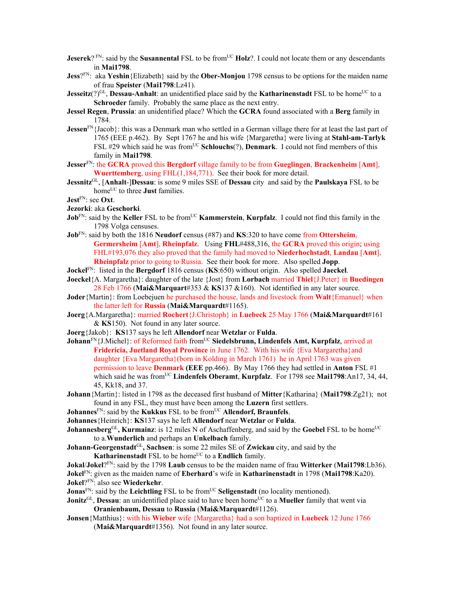- **Jeserek**? FN: said by the **Susannental** FSL to be from<sup>UC</sup> **Holz**?. I could not locate them or any descendants in **Mai1798**.
- **Jess**?FN: aka **Yeshin**{Elizabeth} said by the **Ober-Monjou** 1798 census to be options for the maiden name of frau **Speister** (**Mai1798**:Lz41).
- **Jesseitz**(?)<sup>GL</sup>, **Dessau-Anhalt**: an unidentified place said by the **Katharinenstadt** FSL to be home<sup>UC</sup> to a **Schroeder** family. Probably the same place as the next entry.
- **Jessel Regen**, **Prussia**: an unidentified place? Which the **GCRA** found associated with a **Berg** family in 1784.
- **Jessen**<sup>FN</sup>{Jacob}: this was a Denmark man who settled in a German village there for at least the last part of 1765 (EEE p.462). By Sept 1767 he and his wife {Margaretha} were living at **Stahl-am-Tarlyk** FSL #29 which said he was from<sup>UC</sup> Schlouchs<sup>(?)</sup>, Denmark. I could not find members of this family in **Mai1798**.
- **Jesser**FN: the **GCRA** proved this **Bergdorf** village family to be from **Gueglingen**, **Brackenheim** [**Amt**], **Wuerttemberg**, using FHL(1,184,771). See their book for more detail.
- **Jessnitz**GL, [**Anhalt**-]**Dessau**: is some 9 miles SSE of **Dessau** city and said by the **Paulskaya** FSL to be home<sup>UC</sup> to three **Just** families.
- **Jest**FN: see **Oxt**.
- **Jezorki**: aka **Geschorki**.
- **Job**<sup>FN</sup>: said by the **Keller** FSL to be from<sup>UC</sup> **Kammerstein**, **Kurpfalz**. I could not find this family in the 1798 Volga censuses.
- **Job**FN: said by both the 1816 **Neudorf** census (#87) and **KS**:320 to have come from **Ottersheim**, **Germersheim** [**Amt**], **Rheinpfalz**. Using **FHL**#488,316, the **GCRA** proved this origin; using FHL#193,076 they also proved that the family had moved to **Niederhochstadt**, **Landau** [**Amt**], **Rheinpfalz** prior to going to Russia. See their book for more. Also spelled **Jopp**.
- **Jockel**FN: listed in the **Bergdorf** 1816 census (**KS**:650) without origin. Also spelled **Jaeckel**.
- **Joeckel**{A. Margaretha}: daughter of the late {Jost} from **Lorbach** married **Thiel**{J.Peter} in **Buedingen**  28 Feb 1766 (**Mai&Marquart**#353 & **KS**137 &160). Not identified in any later source.
- **Joder**{Martin}: from Loebejuen he purchased the house, lands and livestock from **Walt**{Emanuel} when the latter left for **Russia** (**Mai&Marquardt**#1165).
- **Joerg**{A.Margaretha}: married **Rochert**{J.Christoph} in **Luebeck** 25 May 1766 (**Mai&Marquardt**#161 & **KS**150). Not found in any later source.
- **Joerg**{Jakob}: **KS**137 says he left **Allendorf** near **Wetzlar** or **Fulda**.
- **Johann**FN{J.Michel}: of Reformed faith fromUC **Siedelsbrunn, Lindenfels Amt, Kurpfalz**, arrived at **Fridericia, Juetland Royal Province** in June 1762. With his wife {Eva Margaretha}and daughter {Eva Margaretha}(born in Kolding in March 1761) he in April 1763 was given permission to leave **Denmark (EEE** pp.466). By May 1766 they had settled in **Anton** FSL #1 which said he was fromUC **Lindenfels Oberamt**, **Kurpfalz**.For 1798 see **Mai1798**:An17, 34, 44, 45, Kk18, and 37.
- **Johann**{Martin}: listed in 1798 as the deceased first husband of **Mitter**{Katharina} (**Mai1798**:Zg21); not found in any FSL, they must have been among the **Luzern** first settlers.
- **Johannes**<sup>FN</sup>: said by the **Kukkus** FSL to be from<sup>UC</sup> Allendorf, Braunfels.
- **Johannes**{Heinrich}: **KS**137 says he left **Allendorf** near **Wetzlar** or **Fulda**.
- **Johannesberg**<sup>GL</sup>, **Kurmainz**: is 12 miles N of Aschaffenberg, and said by the Goebel FSL to be home<sup>UC</sup> to a.**Wunderlich** and perhaps an **Unkelbach** family.
- **Johann-Georgenstadt**GL**, Sachsen**: is some 22 miles SE of **Zwickau** city, and said by the **Katharinenstadt** FSL to be home<sup>UC</sup> to a **Endlich** family.
- **Jokal**/**Jokel**?FN: said by the 1798 **Laub** census to be the maiden name of frau **Witterker** (**Mai1798**:Lb36).
- **Jokel**FN: given as the maiden name of **Eberhard**'s wife in **Katharinenstadt** in 1798 (**Mai1798**:Ka20). **Jokel**?FN: also see **Wiederkehr**.
- **Jonas**<sup>FN</sup>: said by the **Leichtling** FSL to be from<sup>UC</sup> **Seligenstadt** (no locality mentioned).
- **Jonitz**<sup>GL</sup>, **Dessau**: an unidentified place said to have been home<sup>UC</sup> to a **Mueller** family that went via **Oranienbaum, Dessau** to **Russia** (**Mai&Marquardt**#1126).
- **Jonsen**{Matthius}: with his **Wieber** wife {Margaretha} had a son baptized in **Luebeck** 12 June 1766 (**Mai&Marquardt**#1356). Not found in any later source.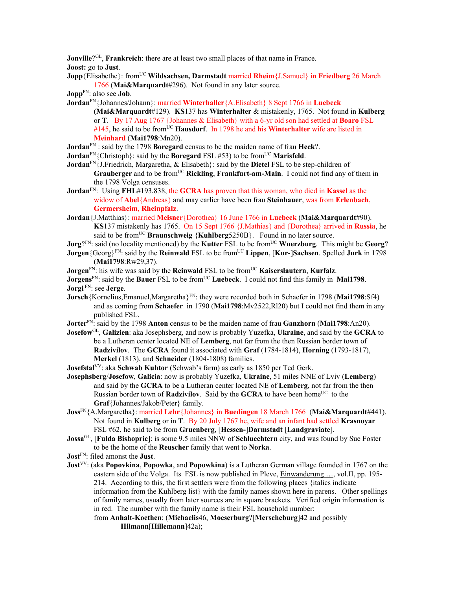**Jonville**?<sup>GL</sup>, Frankreich: there are at least two small places of that name in France. **Joost:** go to **Just**.

- **Jopp**{Elisabethe}: fromUC **Wildsachsen, Darmstadt** married **Rheim**{J.Samuel} in **Friedberg** 26 March 1766 (**Mai&Marquardt**#296). Not found in any later source.
- **Jopp**FN: also see **Job**.
- **Jordan**FN{Johannes/Johann}: married **Winterhaller**{A.Elisabeth} 8 Sept 1766 in **Luebeck (Mai&Marquardt**#129). **KS**137 has **Winterhalter** & mistakenly, 1765. Not found in **Kulberg** or **T**. By 17 Aug 1767 {Johannes & Elisabeth} with a 6-yr old son had settled at **Boaro** FSL #145, he said to be from<sup>UC</sup> **Hausdorf**. In 1798 he and his **Winterhalter** wife are listed in **Meinhard** (**Mai1798**:Mn20).
- **Jordan**FN : said by the 1798 **Boregard** census to be the maiden name of frau **Heck**?.
- **Jordan**<sup>FN</sup>{Christoph}: said by the **Boregard** FSL #53) to be from<sup>UC</sup> **Marisfeld**.
- **Jordan**FN{J.Friedrich, Margaretha, & Elisabeth}: said by the **Dietel** FSL to be step-children of Grauberger and to be from<sup>UC</sup> Rickling, Frankfurt-am-Main. I could not find any of them in the 1798 Volga censuses.
- **Jordan**FN: Using **FHL**#193,838, the **GCRA** has proven that this woman, who died in **Kassel** as the widow of **Abel**{Andreas} and may earlier have been frau **Steinhauer**, was from **Erlenbach**, **Germersheim**, **Rheinpfalz**.
- **Jordan**{J.Matthias}: married **Meisner**{Dorothea} 16 June 1766 in **Luebeck** (**Mai&Marquardt**#90). **KS**137 mistakenly has 1765. On 15 Sept 1766 {J.Mathias} and {Dorothea} arrived in **Russia**, he said to be from<sup>UC</sup> **Braunschweig** {**Kuhlberg**5250B}. Found in no later source.
- **Jorg**?<sup>FN</sup>: said (no locality mentioned) by the **Kutter** FSL to be from<sup>UC</sup> **Wuerzburg**. This might be **Georg**?
- **Jorgen** {Georg}<sup>FN</sup>: said by the **Reinwald** FSL to be from<sup>UC</sup> **Lippen**, [**Kur-**]Sachsen. Spelled **Jurk** in 1798 (**Mai1798**:Rw29,37).

**Jorgen**<sup>FN</sup>: his wife was said by the **Reinwald** FSL to be from<sup>UC</sup> **Kaiserslautern**, **Kurfalz**.

- **Jorgens**<sup>FN</sup>: said by the **Bauer** FSL to be from<sup>UC</sup> Luebeck. I could not find this family in Mai1798. **Jorgi** FN: see **Jerge**.
- **Jorsch** {Kornelius,Emanuel,Margaretha}<sup>FN</sup>: they were recorded both in Schaefer in 1798 (Mai1798:Sf4) and as coming from **Schaefer** in 1790 (**Mai1798**:Mv2522,Rl20) but I could not find them in any published FSL.
- **Jorter**FN: said by the 1798 **Anton** census to be the maiden name of frau **Ganzhorn** (**Mai1798**:An20).
- **Josefow**GL, **Galizien**: aka Josephsberg, and now is probably Yuzefka, **Ukraine**, and said by the **GCRA** to be a Lutheran center located NE of **Lemberg**, not far from the then Russian border town of **Radzivilov**. The **GCRA** found it associated with **Graf** (1784-1814), **Horning** (1793-1817), **Merkel** (1813), and **Schneider** (1804-1808) families.
- **Josefstal**VV: aka **Schwab Kuhtor** (Schwab's farm) as early as 1850 per Ted Gerk.
- **Josephsberg**/**Josefow**, **Galicia**: now is probably Yuzefka, **Ukraine**, 51 miles NNE of Lviv (**Lemberg**) and said by the **GCRA** to be a Lutheran center located NE of **Lemberg**, not far from the then Russian border town of **Radzivilov**. Said by the **GCRA** to have been home<sup>UC</sup> to the **Graf**{Johannes/Jakob/Peter} family.
- **Joss**FN{A.Margaretha}: married **Lehr**{Johannes} in **Buedingen** 18 March 1766 (**Mai&Marquardt**#441). Not found in **Kulberg** or in **T**. By 20 July 1767 he, wife and an infant had settled **Krasnoyar**  FSL #62, he said to be from **Gruenberg**, [**Hessen-**]**Darmstadt** [**Landgraviate**].
- **Jossa**GL, [**Fulda Bishopric**]: is some 9.5 miles NNW of **Schluechtern** city, and was found by Sue Foster to be the home of the **Reuscher** family that went to **Norka**.
- **Jost**FN: filed amonst the **Just**.
- **Jost**<sup>VV</sup>: (aka **Popovkina**, **Popowka**, and **Popowkina**) is a Lutheran German village founded in 1767 on the eastern side of the Volga. Its FSL is now published in Pleve, Einwanderung …, vol.II, pp. 195- 214. According to this, the first settlers were from the following places {italics indicate information from the Kuhlberg list} with the family names shown here in parens. Other spellings of family names, usually from later sources are in square brackets. Verified origin information is in red. The number with the family name is their FSL household number:
	- from **Anhalt-Koethen**: (**Michaelis**46, **Moeserburg**?[**Merscheburg**]42 and possibly **Hilmann**[**Hillemann**]42a);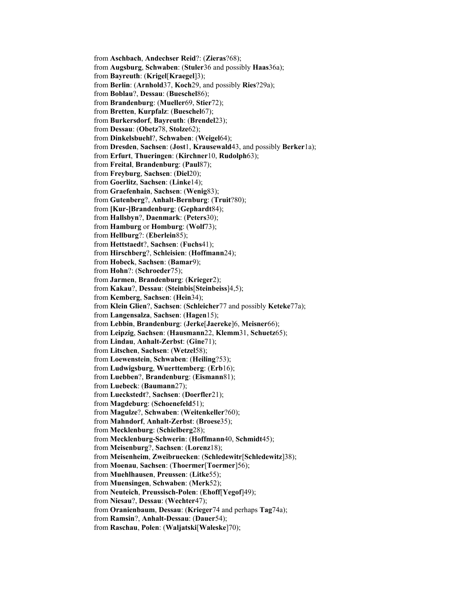from **Aschbach**, **Andechser Reid**?: (**Zieras**?68); from **Augsburg**, **Schwaben**: (**Stuler**36 and possibly **Haas**36a); from **Bayreuth**: (**Krigel**[**Kraegel**]3); from **Berlin**: (**Arnhold**37, **Koch**29, and possibly **Ries**?29a); from **Boblau**?, **Dessau**: (**Bueschel**86); from **Brandenburg**: (**Mueller**69, **Stier**72); from **Bretten**, **Kurpfalz**: (**Bueschel**67); from **Burkersdorf**, **Bayreuth**: (**Brendel**23); from **Dessau**: (**Obetz**78, **Stolze**62); from **Dinkelsbuehl**?, **Schwaben**: (**Weigel**64); from **Dresden**, **Sachsen**: (**Jost**1, **Krausewald**43, and possibly **Berker**1a); from **Erfurt**, **Thueringen**: (**Kirchner**10, **Rudolph**63); from **Freital**, **Brandenburg**: (**Paul**87); from **Freyburg**, **Sachsen**: (**Diel**20); from **Goerlitz**, **Sachsen**: (**Linke**14); from **Graefenhain**, **Sachsen**: (**Wenig**83); from **Gutenberg**?, **Anhalt-Bernburg**: (**Truit**?80); from **[Kur-]Brandenburg**: (**Gephardt**84); from **Hallsbyn**?, **Daenmark**: (**Peters**30); from **Hamburg** or **Homburg**: (**Wolf**73); from **Hellburg**?: (**Eberlein**85); from **Hettstaedt**?, **Sachsen**: (**Fuchs**41); from **Hirschberg**?, **Schleisien**: (**Hoffmann**24); from **Hobeck**, **Sachsen**: (**Bamar**9); from **Hohn**?: (**Schroeder**75); from **Jarmen**, **Brandenburg**: (**Krieger**2); from **Kakau**?, **Dessau**: (**Steinbis**[**Steinbeiss**]4,5); from **Kemberg**, **Sachsen**: (**Hein**34); from **Klein Glien**?, **Sachsen**: (**Schleicher**77 and possibly **Keteke**77a); from **Langensalza**, **Sachsen**: (**Hagen**15); from **Lebbin**, **Brandenburg**: (**Jerke**[**Jaereke**]6, **Meisner**66); from **Leipzig**, **Sachsen**: (**Hausmann**22, **Klemm**31, **Schuetz**65); from **Lindau**, **Anhalt-Zerbst**: (**Gine**71); from **Litschen**, **Sachsen**: (**Wetzel**58); from **Loewenstein**, **Schwaben**: (**Heiling**?53); from **Ludwigsburg**, **Wuerttemberg**: (**Erb**16); from **Luebben**?, **Brandenburg**: (**Eismann**81); from **Luebeck**: (**Baumann**27); from **Lueckstedt**?, **Sachsen**: (**Doerfler**21); from **Magdeburg**: (**Schoenefeld**51); from **Magulze**?, **Schwaben**: (**Weitenkeller**?60); from **Mahndorf**, **Anhalt-Zerbst**: (**Broese**35); from **Mecklenburg**: (**Schielberg**28); from **Mecklenburg-Schwerin**: (**Hoffmann**40, **Schmidt**45); from **Meisenburg**?, **Sachsen**: (**Lorenz**18); from **Meisenheim**, **Zweibruecken**: (**Schledewitr**[**Schledewitz**]38); from **Moenau**, **Sachsen**: (**Thoermer**[**Toermer**]56); from **Muehlhausen**, **Preussen**: (**Litke**55); from **Muensingen**, **Schwaben**: (**Merk**52); from **Neuteich**, **Preussisch-Polen**: (**Ehoff**[**Yegof**]49); from **Niesau**?, **Dessau**: (**Wechter**47); from **Oranienbaum**, **Dessau**: (**Krieger**74 and perhaps **Tag**74a); from **Ramsin**?, **Anhalt-Dessau**: (**Dauer**54); from **Raschau**, **Polen**: (**Waljatski**[**Waleske**]70);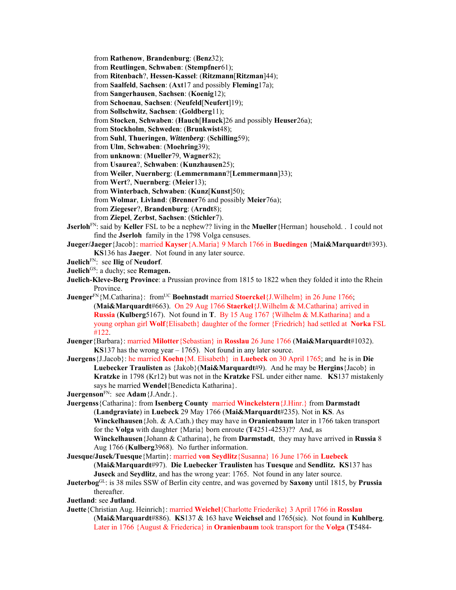from **Rathenow**, **Brandenburg**: (**Benz**32);

- from **Reutlingen**, **Schwaben**: (**Stempfner**61);
- from **Ritenbach**?, **Hessen-Kassel**: (**Ritzmann**[**Ritzman**]44);
- from **Saalfeld**, **Sachsen**: (**Axt**17 and possibly **Fleming**17a);
- from **Sangerhausen**, **Sachsen**: (**Koenig**12);
- from **Schoenau**, **Sachsen**: (**Neufeld**[**Neufert**]19);
- from **Sollschwitz**, **Sachsen**: (**Goldberg**11);
- from **Stocken**, **Schwaben**: (**Hauch**[**Hauck**]26 and possibly **Heuser**26a);
- from **Stockholm**, **Schweden**: (**Brunkwist**48);
- from **Suhl**, **Thueringen**, *Wittenberg*: (**Schilling**59);
- from **Ulm**, **Schwaben**: (**Moehring**39);
- from **unknown**: (**Mueller**79, **Wagner**82);
- from **Usaurea**?, **Schwaben**: (**Kunzhausen**25);
- from **Weiler**, **Nuernberg**: (**Lemmernmann**?[**Lemmermann**]33);
- from **Wert**?, **Nuernberg**: (**Meier**13);
- from **Winterbach**, **Schwaben**: (**Kunz**[**Kunst**]50);
- from **Wolmar**, **Livland**: (**Brenner**76 and possibly **Meier**76a);
- from **Ziegeser**?, **Brandenburg**: (**Arndt**8);
- from **Ziepel**, **Zerbst**, **Sachsen**: (**Stichler**7).
- **Jserloh**FN: said by **Keller** FSL to be a nephew?? living in the **Mueller**{Herman} household. . I could not find the **Jserloh** family in the 1798 Volga censuses.
- **Jueger/Jaeger**{Jacob}: married **Kayser**{A.Maria} 9 March 1766 in **Buedingen** {**Mai&Marquardt**#393). **KS**136 has **Jaeger**. Not found in any later source.
- **Juelich**FN: see **Ilig** of **Neudorf**.
- **Juelich<sup>GS</sup>:** a duchy; see **Remagen.**
- **Juelich-Kleve-Berg Province**: a Prussian province from 1815 to 1822 when they folded it into the Rhein Province.
- **Juenger**FN{M.Catharina}: from<sup>UC</sup> **Boehnstadt** married **Stoerckel**{J.Wilhelm} in 26 June 1766; (**Mai&Marquardt**#663). On 29 Aug 1766 **Staerkel**{J.Wilhelm & M.Catharina} arrived in **Russia** (**Kulberg**5167). Not found in **T**. By 15 Aug 1767 {Wilhelm & M.Katharina} and a young orphan girl **Wolf**{Elisabeth} daughter of the former {Friedrich} had settled at **Norka** FSL #122.
- **Juenger**{Barbara}: married **Milotter**{Sebastian} in **Rosslau** 26 June 1766 (**Mai&Marquardt**#1032). **KS**137 has the wrong year – 1765). Not found in any later source.
- **Juergens**{J.Jacob}: he married **Koehn**{M. Elisabeth} in **Luebeck** on 30 April 1765; and he is in **Die Luebecker Traulisten** as {Jakob}(**Mai&Marquardt**#9). And he may be **Hergins**{Jacob} in **Kratzke** in 1798 (Kr12) but was not in the **Kratzke** FSL under either name. **KS**137 mistakenly says he married **Wendel**{Benedicta Katharina}.
- **Juergenson**FN: see **Adam**{J.Andr.}.
- **Juergenss**{Catharina}: from **Isenberg County** married **Winckelstern**{J.Hinr.} from **Darmstadt**  (**Landgraviate**) in **Luebeck** 29 May 1766 (**Mai&Marquardt**#235). Not in **KS**. As **Winckelhausen**{Joh. & A.Cath.) they may have in **Oranienbaum** later in 1766 taken transport for the **Volga** with daughter {Maria} born enroute (**T**4251-4253)?? And, as **Winckelhausen**{Johann & Catharina}, he from **Darmstadt**, they may have arrived in **Russia** 8 Aug 1766 (**Kulberg**3968). No further information.
- **Juesque/Jusek/Tuesque**{Martin}: married **von Seydlitz**{Susanna} 16 June 1766 in **Luebeck**  (**Mai&Marquardt**#97). **Die Luebecker Traulisten** has **Tuesque** and **Sendlitz. KS**137 has **Juseck** and **Seydlitz**, and has the wrong year: 1765. Not found in any later source.
- **Jueterbog**GL: is 38 miles SSW of Berlin city centre, and was governed by **Saxony** until 1815, by **Prussia** thereafter.
- **Juetland**: see **Jutland**.
- **Juette**{Christian Aug. Heinrich}: married **Weichel**{Charlotte Friederike} 3 April 1766 in **Rosslau** (**Mai&Marquardt**#886). **KS**137 & 163 have **Weichsel** and 1765(sic). Not found in **Kuhlberg**. Later in 1766 {August & Friederica} in **Oranienbaum** took transport for the **Volga** (**T**5484-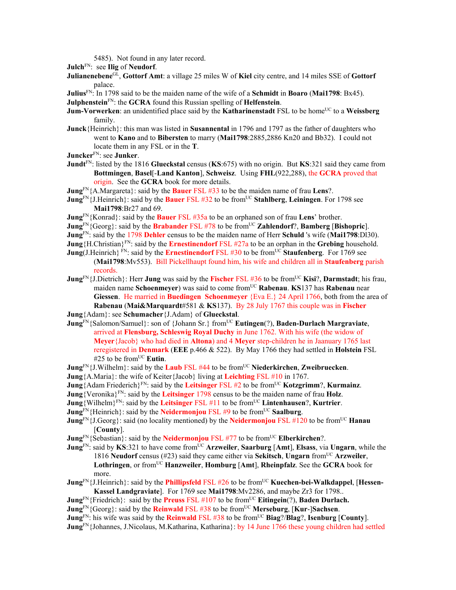5485). Not found in any later record.

- **Julch**FN: see **Ilig** of **Neudorf**.
- **Julianenebene**GL, **Gottorf Amt**: a village 25 miles W of **Kiel** city centre, and 14 miles SSE of **Gottorf** palace.
- **Julius**FN: In 1798 said to be the maiden name of the wife of a **Schmidt** in **Boaro** (**Mai1798**: Bx45).
- **Julphenstein**FN: the **GCRA** found this Russian spelling of **Helfenstein**.
- **Jum-Vorwerken**: an unidentified place said by the **Katharinenstadt** FSL to be home<sup>UC</sup> to a Weissberg family.
- **Junck**{Heinrich}: this man was listed in **Susannental** in 1796 and 1797 as the father of daughters who went to **Kano** and to **Bibersten** to marry (**Mai1798**:2885,2886 Kn20 and Bb32). I could not locate them in any FSL or in the **T**.
- **Juncker**FN: see **Junker**.
- **Jundt**FN: listed by the 1816 **Glueckstal** census (**KS**:675) with no origin. But **KS**:321 said they came from **Bottmingen**, **Basel**[-**Land Kanton**], **Schweisz**. Using **FHL**(922,288), the **GCRA** proved that origin. See the **GCRA** book for more details.
- **Jung**FN{A.Margareta}: said by the **Bauer** FSL #33 to be the maiden name of frau **Lens**?.
- **Jung**<sup>FN</sup>{J.Heinrich}: said by the **Bauer** FSL #32 to be from<sup>UC</sup> Stahlberg, Leiningen. For 1798 see **Mai1798**:Br27 and 69.
- **Jung**FN{Konrad}: said by the **Bauer** FSL #35a to be an orphaned son of frau **Lens**' brother.
- **Jung**FN{Georg}: said by the **Brabander** FSL #78 to be fromUC **Zahlendorf**?, **Bamberg** [**Bishopric**].
- **Jung**FN: said by the 1798 **Dehler** census to be the maiden name of Herr **Schuld** 's wife (**Mai1798**:Dl30).
- **Jung**{H.Christian}FN: said by the **Ernestinendorf** FSL #27a to be an orphan in the **Grebing** household.
- **Jung**(J.Heinrich)<sup>FN</sup>: said by the **Ernestinendorf** FSL #30 to be from<sup>UC</sup> Staufenberg. For 1769 see (**Mai1798**:Mv553). Bill Pickellhaupt found him, his wife and children all in **Staufenberg** parish records.
- **Jung**FN{J.Dietrich}: Herr **Jung** was said by the **Fischer** FSL #36 to be fromUC **Kisi**?, **Darmstadt**; his frau, maiden name **Schoenmeyer**) was said to come fromUC **Rabenau**. **KS**137 has **Rabenau** near **Giessen**.He married in **Buedingen Schoenmeyer** {Eva E.} 24 April 1766, both from the area of **Rabenau** (**Mai&Marquardt**#581 & **KS**137). By 28 July 1767 this couple was in **Fischer**
- **Jung**{Adam}: see **Schumacher**{J.Adam} of **Glueckstal**.
- **Jung**FN{Salomon/Samuel}: son of {Johann Sr.} fromUC **Eutingen**(?), **Baden-Durlach Margraviate**, arrived at **Flensburg, Schleswig Royal Duchy** in June 1762. With his wife (the widow of **Meyer**{Jacob} who had died in **Altona**) and 4 **Meyer** step-children he in Jaanuary 1765 last reregistered in **Denmark** (**EEE** p.466 & 522). By May 1766 they had settled in **Holstein** FSL  $#25$  to be from<sup>UC</sup> Eutin.
- **Jung**FN{J.Wilhelm}: said by the **Laub** FSL #44 to be fromUC **Niederkirchen**, **Zweibruecken**.
- **Jung**{A.Maria}: the wife of Keiter{Jacob} living at **Leichting** FSL #10 in 1767.
- **Jung**{Adam Friederich}<sup>FN</sup>: said by the **Leitsinger** FSL #2 to be from<sup>UC</sup> **Kotzgrimm**?, **Kurmainz**.
- **Jung**{Veronika}<sup>FN</sup>: said by the **Leitsinger** 1798 census to be the maiden name of frau **Holz**.
- $\text{Jung}$ {Wilhelm}<sup>FN</sup>: said by the **Leitsinger** FSL #11 to be from<sup>UC</sup> **Lintenhausen**?, **Kurtrier**.
- **Jung**<sup>FN</sup>{Heinrich}: said by the **Neidermonjou** FSL #9 to be from<sup>UC</sup> Saalburg.
- **Jung**<sup>FN</sup>{J.Georg}: said (no locality mentioned) by the **Neidermonjou** FSL #120 to be from<sup>UC</sup> **Hanau** [**County**].
- **Jung**<sup>FN</sup>{Sebastian}: said by the **Neidermonjou** FSL #77 to be from<sup>UC</sup> **Elberkirchen**?.
- **Jung**<sup>FN</sup>: said by **KS**:321 to have come from<sup>UC</sup> **Arzweiler**, **Saarburg** [Amt], **Elsass**, via **Ungarn**, while the 1816 **Neudorf** census (#23) said they came either via **Sekitsch**, **Ungarn** fromUC **Arzweiler**, **Lothringen**, or fromUC **Hanzweiler**, **Homburg** [**Amt**], **Rheinpfalz**. See the **GCRA** book for more.
- **Jung**<sup>FN</sup>{J.Heinrich}: said by the **Phillipsfeld** FSL #26 to be from<sup>UC</sup> **Kuechen-bei-Walkdappel**, [**Hessen-Kassel Landgraviate**]. For 1769 see **Mai1798**:Mv2286, and maybe Zr3 for 1798..
- **Jung**<sup>FN</sup>{Friedrich}: said by the **Preuss** FSL #107 to be from<sup>UC</sup> **Eitingein**(?), **Baden Durlach.**
- **Jung**FN{Georg}: said by the **Reinwald** FSL #38 to be fromUC **Merseburg**, [**Kur**-]**Sachsen**.
- **Jung**<sup>FN</sup>: his wife was said by the **Reinwald** FSL #38 to be from<sup>UC</sup> **Biag**?/**Blag**?, **Isenburg** [County].
- **Jung**<sup>FN</sup>{Johannes, J.Nicolaus, M.Katharina, Katharina}: by 14 June 1766 these young children had settled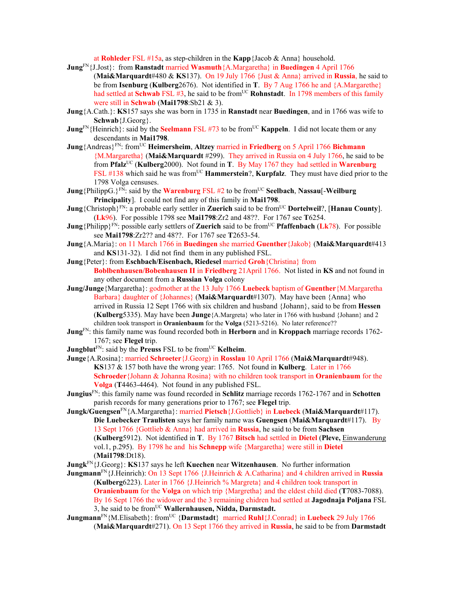at **Rohleder** FSL #15a, as step-children in the **Kapp**{Jacob & Anna} household.

- **Jung**FN{J.Jost}: from **Ranstadt** married **Wasmuth**{A.Margaretha} in **Buedingen** 4 April 1766 (**Mai&Marquardt**#480 & **KS**137). On 19 July 1766 {Just & Anna} arrived in **Russia**, he said to be from **Isenburg** (**Kulberg**2676). Not identified in **T**. By 7 Aug 1766 he and {A.Margarethe} had settled at **Schwab** FSL #3, he said to be from<sup>UC</sup> **Rohnstadt**. In 1798 members of this family were still in **Schwab** (**Mai1798**:Sb21 & 3).
- **Jung**{A.Cath.}: **KS**157 says she was born in 1735 in **Ranstadt** near **Buedingen**, and in 1766 was wife to **Schwab**{J.Georg}.
- **Jung**<sup>FN</sup>{Heinrich}: said by the **Seelmann** FSL #73 to be from<sup>UC</sup> **Kappeln**. I did not locate them or any descendants in **Mai1798**.
- **Jung**{Andreas}FN: fromUC **Heimersheim**, **Altzey** married in **Friedberg** on 5 April 1766 **Bichmann** {M.Margaretha} (**Mai&Marquardt** #299). They arrived in Russia on 4 July 1766, he said to be from **Pfalz**UC (**Kulberg**2000). Not found in **T**. By May 1767 they had settled in **Warenburg** FSL #138 which said he was from<sup>UC</sup> **Hammerstein**?, **Kurpfalz**. They must have died prior to the 1798 Volga censuses.
- **Jung**{PhilippG.}FN: said by the **Warenburg** FSL #2 to be fromUC **Seelbach**, **Nassau**[-**Weilburg Principality**]. I could not find any of this family in **Mai1798**.
- **Jung** {Christoph}<sup>FN</sup>: a probable early settler in **Zuerich** said to be from<sup>UC</sup> Dortelweil?, [Hanau County]. (**Lk**96). For possible 1798 see **Mai1798**:Zr2 and 48??. For 1767 see **T**6254.
- **Jung**{Philipp}FN: possible early settlers of **Zuerich** said to be fromUC **Pfaffenbach** (**Lk**78). For possible see **Mai1798**:Zr2?? and 48??. For 1767 see **T**2653-54.
- **Jung**{A.Maria}: on 11 March 1766 in **Buedingen** she married **Guenther**{Jakob} (**Mai&Marquardt**#413 and **KS**131-32). I did not find them in any published FSL.
- **Jung**{Peter}: from **Eschbach/Eisenbach, Riedesel** married **Groh**{Christina} from **Boblbenhausen/Bobenhausen II** in **Friedberg** 21April 1766. Not listed in **KS** and not found in any other document from a **Russian Volga** colony
- **Jung/Junge**{Margaretha}: godmother at the 13 July 1766 **Luebeck** baptism of **Guenther**{M.Margaretha Barbara} daughter of {Johannes} (**Mai&Marquardt**#1307). May have been {Anna} who arrived in Russia 12 Sept 1766 with six children and husband {Johann}, said to be from **Hessen** (**Kulberg**5335). May have been **Junge**{A.Margreta} who later in 1766 with husband {Johann} and 2 children took transport in **Oranienbaum** for the **Volga** (5213-5216). No later reference??
- **Jung**FN: this family name was found recorded both in **Herborn** and in **Kroppach** marriage records 1762- 1767; see **Flegel** trip.
- **Jungblut**<sup>FN</sup>: said by the **Preuss** FSL to be from<sup>UC</sup> **Kelheim**.
- **Junge**{A.Rosina}: married **Schroeter**{J.Georg) in **Rosslau** 10 April 1766 (**Mai&Marquardt**#948). **KS**137 & 157 both have the wrong year: 1765. Not found in **Kulberg**. Later in 1766 **Schroeder**{Johann & Johanna Rosina} with no children took transport in **Oranienbaum** for the **Volga** (**T**4463-4464). Not found in any published FSL.
- **Jungius**FN: this family name was found recorded in **Schlitz** marriage records 1762-1767 and in **Schotten** parish records for many generations prior to 1767; see **Flegel** trip.
- **Jungk/Guengsen**FN{A.Margaretha}: married **Pietsch**{J.Gottlieb} in **Luebeck** (**Mai&Marquardt**#117). **Die Luebecker Traulisten** says her family name was **Guengsen** (**Mai&Marquardt**#117). By 13 Sept 1766 {Gottlieb & Anna} had arrived in **Russia**, he said to be from **Sachsen** (**Kulberg**5912). Not identified in **T**. By 1767 **Bitsch** had settled in **Dietel** (**Pleve,** Einwanderung vol.1, p.295). By 1798 he and his **Schnepp** wife {Margaretha} were still in **Dietel** (**Mai1798**:Dt18).
- **Jungk**FN{J.Georg}: **KS**137 says he left **Kuechen** near **Witzenhausen**. No further information
- **Jungmann**FN{J.Heinrich): On 13 Sept 1766 {J.Heinrich & A.Catharina} and 4 children arrived in **Russia**  (**Kulberg**6223). Later in 1766 {J.Heinrich % Margreta} and 4 children took transport in **Oranienbaum** for the **Volga** on which trip {Margretha} and the eldest child died (**T**7083-7088). By 16 Sept 1766 the widower and the 3 remaining chidren had settled at **Jagodnaja Poljana** FSL 3, he said to be fromUC **Wallernhausen, Nidda, Darmstadt.**
- **Jungmann**FN{M.Elisabeth}: fromUC {**Darmstadt**} married **Ruhl**{J.Conrad} in **Luebeck** 29 July 1766 (**Mai&Marquardt**#271). On 13 Sept 1766 they arrived in **Russia**, he said to be from **Darmstadt**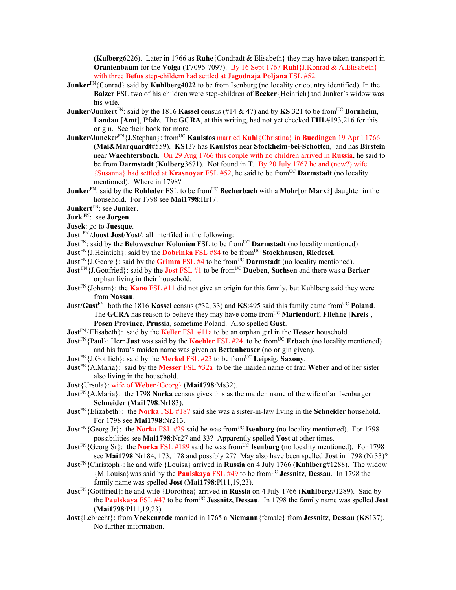(**Kulberg**6226). Later in 1766 as **Ruhe**{Condradt & Elisabeth} they may have taken transport in **Oranienbaum** for the **Volga** (**T**7096-7097). By 16 Sept 1767 **Ruhl**{J.Konrad & A.Elisabeth} with three **Befus** step-childern had settled at **Jagodnaja Poljana** FSL #52.

- **Junker**<sup>FN</sup>{Conrad} said by **Kuhlberg4022** to be from Isenburg (no locality or country identified). In the **Balzer** FSL two of his children were step-children of **Becker**{Heinrich}and Junker's widow was his wife.
- **Junker/Junkert**<sup>FN</sup>: said by the 1816 **Kassel** census (#14  $\&$  47) and by **KS**:321 to be from<sup>UC</sup> **Bornheim**, **Landau** [**Amt**], **Pfalz**. The **GCRA**, at this writing, had not yet checked **FHL**#193,216 for this origin. See their book for more.
- **Junker/Juncker**<sup>FN</sup>{J.Stephan}: from<sup>UC</sup> **Kaulstos** married **Kuhl**{Christina} in **Buedingen** 19 April 1766 (**Mai&Marquardt**#559). **KS**137 has **Kaulstos** near **Stockheim-bei-Schotten**, and has **Birstein** near **Waechtersbach**. On 29 Aug 1766 this couple with no children arrived in **Russia**, he said to be from **Darmstadt** (**Kulberg**3671). Not found in **T**. By 20 July 1767 he and (new?) wife {Susanna} had settled at **Krasnoyar** FSL #52, he said to be fromUC **Darmstadt** (no locality mentioned). Where in 1798?
- **Junker**<sup>FN</sup>: said by the **Rohleder** FSL to be from<sup>UC</sup> **Becherbach** with a **Mohr**[or **Marx**?] daughter in the household. For 1798 see **Mai1798**:Hr17.
- **Junkert**FN: see **Junker**.
- **Jurk** FN: see **Jorgen**.
- **Jusek**: go to **Juesque**.
- **Just**, FN /**Joost Jost**/**Yos**t/: all interfiled in the following:
- **Just**<sup>FN</sup>: said by the **Belowescher Kolonien** FSL to be from<sup>UC</sup> **Darmstadt** (no locality mentioned).
- **Just**<sup>FN</sup>{J.Heintich}: said by the **Dobrinka** FSL #84 to be from<sup>UC</sup> Stockhausen, Riedesel.
- **Just**<sup>FN</sup>{J.Georg|}: said by the **Grimm** FSL #4 to be from<sup>UC</sup> **Darmstadt** (no locality mentioned).
- **Jost**<sup>FN</sup>{J.Gottfried}: said by the **Jost** FSL #1 to be from<sup>UC</sup> Dueben, Sachsen and there was a Berker orphan living in their household.
- **Just**<sup>FN</sup>{Johann}: the **Kano** FSL #11 did not give an origin for this family, but Kuhlberg said they were from **Nassau**.
- **Just/Gust**<sup>FN</sup>: both the 1816 **Kassel** census (#32, 33) and **KS**:495 said this family came from<sup>UC</sup> Poland. The **GCRA** has reason to believe they may have come from<sup>UC</sup> **Mariendorf**, **Filehne** [**Kreis**], **Posen Province**, **Prussia**, sometime Poland. Also spelled **Gust**.
- **Jost**FN{Elisabeth}: said by the **Keller** FSL #11a to be an orphan girl in the **Hesser** household.
- **Just**<sup>FN</sup>{Paul}: Herr **Just** was said by the **Koehler** FSL  $#24$  to be from<sup>UC</sup> **Erbach** (no locality mentioned) and his frau's maiden name was given as **Bettenheuser** (no origin given).
- **Just**<sup>FN</sup>{J.Gottlieb}: said by the **Merkel** FSL  $#23$  to be from<sup>UC</sup> Leipsig, Saxony.
- **Just**FN{A.Maria}: said by the **Messer** FSL #32a to be the maiden name of frau **Weber** and of her sister also living in the household.
- **Just**{Ursula}: wife of **Weber**{Georg} (**Mai1798**:Ms32).
- **Just**FN{A.Maria}: the 1798 **Norka** census gives this as the maiden name of the wife of an Isenburger **Schneider** (**Mai1798**:Nr183).
- **Just**FN{Elizabeth}: the **Norka** FSL #187 said she was a sister-in-law living in the **Schneider** household. For 1798 see **Mai1798**:Nr213.
- **Just**<sup>FN</sup>{Georg Jr}: the **Norka** FSL #29 said he was from<sup>UC</sup> **Isenburg** (no locality mentioned). For 1798 possibilities see **Mai1798**:Nr27 and 33? Apparently spelled **Yost** at other times.
- **Just**<sup>FN</sup>{Georg Sr}: the **Norka** FSL #189 said he was from<sup>UC</sup> **Isenburg** (no locality mentioned). For 1798 see **Mai1798**:Nr184, 173, 178 and possibly 27? May also have been spelled **Jost** in 1798 (Nr33)?
- **Just**FN{Christoph}: he and wife {Louisa} arrived in **Russia** on 4 July 1766 (**Kuhlberg**#1288). The widow {M.Louisa}was said by the **Paulskaya** FSL #49 to be fromUC **Jessnitz**, **Dessau**. In 1798 the family name was spelled **Jost** (**Mai1798**:Pl11,19,23).
- **Just**FN{Gottfried}: he and wife {Dorothea} arrived in **Russia** on 4 July 1766 (**Kuhlberg**#1289). Said by the **Paulskaya** FSL #47 to be fromUC **Jessnitz**, **Dessau**. In 1798 the family name was spelled **Jost** (**Mai1798**:Pl11,19,23).
- **Jost**{Lebrecht}: from **Vockenrode** married in 1765 a **Niemann**{female} from **Jessnitz**, **Dessau** (**KS**137). No further information.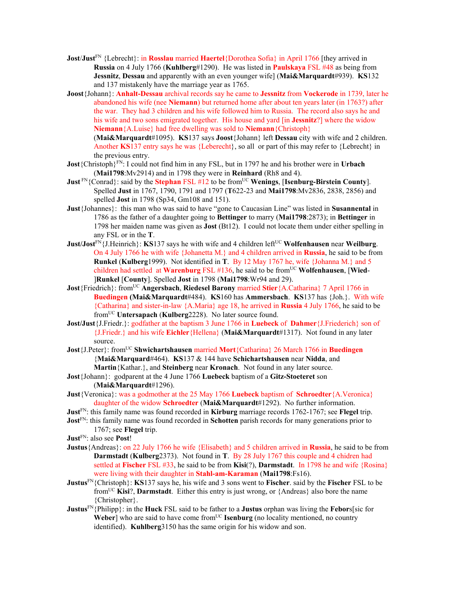- **Jost/Just**<sup>FN</sup> {Lebrecht}: in **Rosslau** married **Haertel**{Dorothea Sofia} in April 1766 [they arrived in **Russia** on 4 July 1766 (**Kuhlberg**#1290). He was listed in **Paulskaya** FSL #48 as being from **Jessnitz**, **Dessau** and apparently with an even younger wife] (**Mai&Marquardt**#939). **KS**132 and 137 mistakenly have the marriage year as 1765.
- **Joost**{Johann}: **Anhalt-Dessau** archival records say he came to **Jessnitz** from **Vockerode** in 1739, later he abandoned his wife (nee **Niemann**) but returned home after about ten years later (in 1763?) after the war. They had 3 children and his wife followed him to Russia. The record also says he and his wife and two sons emigrated together. His house and yard [in **Jessnitz**?] where the widow **Niemann**{A.Luise} had free dwelling was sold to **Niemann**{Christoph}

(**Mai&Marquardt**#1095). **KS**137 says **Joost**{Johann} left **Dessau** city with wife and 2 children. Another **KS**137 entry says he was {Leberecht}, so all or part of this may refer to {Lebrecht} in the previous entry.

- **Jost**{Christoph}FN: I could not find him in any FSL, but in 1797 he and his brother were in **Urbach** (**Mai1798**:Mv2914) and in 1798 they were in **Reinhard** (Rh8 and 4).
- **Just**<sup>FN</sup>{Conrad}: said by the **Stephan** FSL #12 to be from<sup>UC</sup> **Wenings**, [Isenburg-Birstein County]. Spelled **Just** in 1767, 1790, 1791 and 1797 (**T**622-23 and **Mai1798**:Mv2836, 2838, 2856) and spelled **Jost** in 1798 (Sp34, Gm108 and 151).
- **Just**{Johannes}: this man who was said to have "gone to Caucasian Line" was listed in **Susannental** in 1786 as the father of a daughter going to **Bettinger** to marry (**Mai1798**:2873); in **Bettinger** in 1798 her maiden name was given as **Jost** (Bt12). I could not locate them under either spelling in any FSL or in the **T**.
- **Just/Jost**<sup>FN</sup>{J.Heinrich}: **KS**137 says he with wife and 4 children left<sup>UC</sup> **Wolfenhausen** near **Weilburg**. On 4 July 1766 he with wife {Johanetta M.} and 4 children arrived in **Russia**, he said to be from **Runkel** (**Kulberg**1999). Not identified in **T**. By 12 May 1767 he, wife {Johanna M.} and 5 children had settled at **Warenburg** FSL #136, he said to be from<sup>UC</sup> **Wolfenhausen**, [Wied-]**Runkel** [**County**]. Spelled **Jost** in 1798 (**Mai1798**:Wr94 and 29).
- **Jost**{Friedrich}: fromUC **Angersbach**, **Riedesel Barony** married **Stier**{A.Catharina} 7 April 1766 in **Buedingen (Mai&Marquardt**#484). **KS**160 has **Ammersbach**. **KS**137 has {Joh.}. With wife {Catharina} and sister-in-law {A.Maria} age 18, he arrived in **Russia** 4 July 1766, he said to be fromUC **Untersapach** (**Kulberg**2228). No later source found.
- **Jost/Just**{J.Friedr.}: godfather at the baptism 3 June 1766 in **Luebeck** of **Dahmer**{J.Friederich} son of {J.Friedr.} and his wife **Eichler**{Hellena} (**Mai&Marquardt**#1317). Not found in any later source.
- **Jost**{J.Peter}: from<sup>UC</sup> **Shwichartshausen** married **Mort**{Catharina} 26 March 1766 in **Buedingen** {**Mai&Marquard**#464). **KS**137 & 144 have **Schichartshausen** near **Nidda**, and **Martin**{Kathar.}, and **Steinberg** near **Kronach**.Not found in any later source.
- **Jost**{Johann}: godparent at the 4 June 1766 **Luebeck** baptism of a **Gitz-Stoeteret** son (**Mai&Marquardt**#1296).
- **Just**{Veronica}: was a godmother at the 25 May 1766 **Luebeck** baptism of **Schroedter**{A.Veronica} daughter of the widow **Schroedter** (**Mai&Marquardt**#1292). No further information.
- **Just**FN: this family name was found recorded in **Kirburg** marriage records 1762-1767; see **Flegel** trip.
- **Jost**FN: this family name was found recorded in **Schotten** parish records for many generations prior to 1767; see **Flegel** trip.
- **Just**FN: also see **Post**!
- **Justus**{Andreas}: on 22 July 1766 he wife {Elisabeth} and 5 children arrived in **Russia**, he said to be from **Darmstadt** (**Kulberg**2373). Not found in **T**. By 28 July 1767 this couple and 4 chidren had settled at **Fischer** FSL #33, he said to be from **Kisi**(?), **Darmstadt**. In 1798 he and wife {Rosina} were living with their daughter in **Stahl-am-Karaman** (**Mai1798**:Fs16).
- **Justus**FN{Christoph}: **KS**137 says he, his wife and 3 sons went to **Fischer**. said by the **Fischer** FSL to be fromUC **Kisi**?, **Darmstadt**. Either this entry is just wrong, or {Andreas} also bore the name {Christopher}.
- **Justus**FN{Philipp}: in the **Huck** FSL said to be father to a **Justus** orphan was living the **Febor**s[sic for **Weber** who are said to have come from<sup>UC</sup> **Isenburg** (no locality mentioned, no country identified). **Kuhlberg**3150 has the same origin for his widow and son.